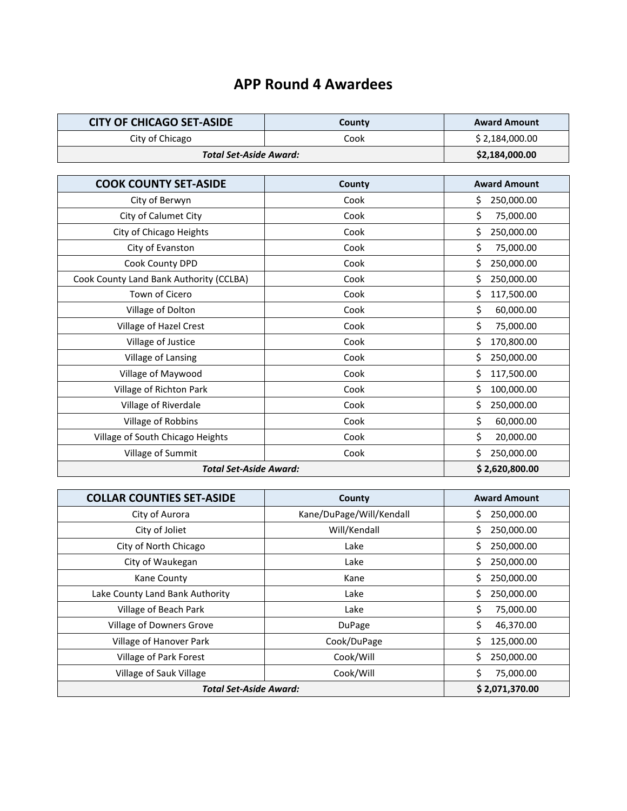## **APP Round 4 Awardees**

| <b>CITY OF CHICAGO SET-ASIDE</b> | County | <b>Award Amount</b> |
|----------------------------------|--------|---------------------|
| City of Chicago                  | Cook   | \$2,184,000.00      |
| <b>Total Set-Aside Award:</b>    |        | \$2,184,000.00      |
|                                  |        |                     |
| <b>COOK COUNTY SET-ASIDE</b>     | County | <b>Award Amount</b> |
| City of Berwyn                   | Cook   | 250,000.00          |

| <b>Total Set-Aside Award:</b>           |      | \$2,620,800.00   |
|-----------------------------------------|------|------------------|
| Village of Summit                       | Cook | Ś<br>250,000.00  |
| Village of South Chicago Heights        | Cook | \$<br>20,000.00  |
| Village of Robbins                      | Cook | \$<br>60,000.00  |
| Village of Riverdale                    | Cook | Ś<br>250,000.00  |
| Village of Richton Park                 | Cook | Ś<br>100,000.00  |
| Village of Maywood                      | Cook | Ś<br>117,500.00  |
| Village of Lansing                      | Cook | Ś<br>250,000.00  |
| Village of Justice                      | Cook | Ś<br>170,800.00  |
| Village of Hazel Crest                  | Cook | \$<br>75,000.00  |
| Village of Dolton                       | Cook | \$<br>60,000.00  |
| Town of Cicero                          | Cook | \$<br>117,500.00 |
| Cook County Land Bank Authority (CCLBA) | Cook | 250,000.00       |
| Cook County DPD                         | Cook | \$<br>250,000.00 |
| City of Evanston                        | Cook | \$<br>75,000.00  |
| City of Chicago Heights                 | Cook | Ś.<br>250,000.00 |
| City of Calumet City                    | Cook | \$<br>75,000.00  |
| City of Berwyn                          | Cook | \$<br>250,000.00 |

| <b>COLLAR COUNTIES SET-ASIDE</b> | County                   | <b>Award Amount</b> |
|----------------------------------|--------------------------|---------------------|
| City of Aurora                   | Kane/DuPage/Will/Kendall | 250,000.00          |
| City of Joliet                   | Will/Kendall             | Ś<br>250,000.00     |
| City of North Chicago            | Lake                     | 250,000.00<br>Ś     |
| City of Waukegan                 | Lake                     | 250,000.00<br>Ś.    |
| Kane County                      | Kane                     | 250,000.00<br>Ś     |
| Lake County Land Bank Authority  | Lake                     | Ś<br>250,000.00     |
| Village of Beach Park            | Lake                     | \$<br>75,000.00     |
| Village of Downers Grove         | DuPage                   | Ś<br>46,370.00      |
| Village of Hanover Park          | Cook/DuPage              | Ś<br>125,000.00     |
| Village of Park Forest           | Cook/Will                | 250,000.00          |
| Village of Sauk Village          | Cook/Will                | 75,000.00           |
| <b>Total Set-Aside Award:</b>    |                          | \$2,071,370.00      |